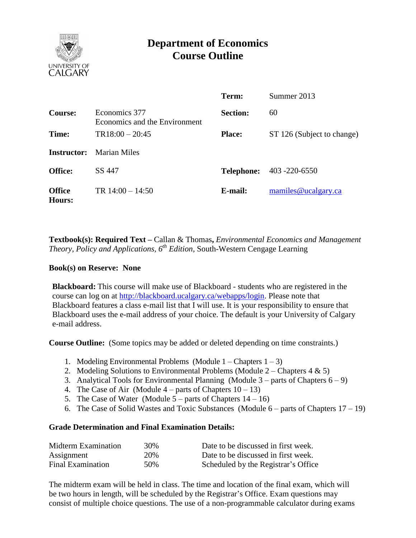

# **Department of Economics Course Outline**

|                         |                                                | Term:           | Summer 2013                     |
|-------------------------|------------------------------------------------|-----------------|---------------------------------|
| <b>Course:</b>          | Economics 377<br>Economics and the Environment | <b>Section:</b> | 60                              |
| Time:                   | $TR18:00 - 20:45$                              | <b>Place:</b>   | ST 126 (Subject to change)      |
| <b>Instructor:</b>      | Marian Miles                                   |                 |                                 |
| <b>Office:</b>          | SS 447                                         |                 | <b>Telephone:</b> 403 -220-6550 |
| <b>Office</b><br>Hours: | TR $14:00 - 14:50$                             | E-mail:         | mamiles@ucalgary.ca             |

**Textbook(s): Required Text –** Callan & Thomas**,** *Environmental Economics and Management Theory, Policy and Applications, 6th Edition,* South-Western Cengage Learning

#### **Book(s) on Reserve: None**

**Blackboard:** This course will make use of Blackboard - students who are registered in the course can log on at [http://blackboard.ucalgary.ca/webapps/login.](http://blackboard.ucalgary.ca/webapps/login) Please note that Blackboard features a class e-mail list that I will use. It is your responsibility to ensure that Blackboard uses the e-mail address of your choice. The default is your University of Calgary e-mail address.

**Course Outline:** (Some topics may be added or deleted depending on time constraints.)

- 1. Modeling Environmental Problems (Module  $1 -$ Chapters  $1 3$ )
- 2. Modeling Solutions to Environmental Problems (Module  $2$  Chapters 4 & 5)
- 3. Analytical Tools for Environmental Planning (Module  $3$  parts of Chapters  $6 9$ )
- 4. The Case of Air (Module  $4$  parts of Chapters  $10 13$ )
- 5. The Case of Water (Module  $5$  parts of Chapters  $14 16$ )
- 6. The Case of Solid Wastes and Toxic Substances (Module  $6$  parts of Chapters  $17 19$ )

#### **Grade Determination and Final Examination Details:**

| Midterm Examination | 30% | Date to be discussed in first week. |
|---------------------|-----|-------------------------------------|
| Assignment          | 20% | Date to be discussed in first week. |
| Final Examination   | 50% | Scheduled by the Registrar's Office |

The midterm exam will be held in class. The time and location of the final exam, which will be two hours in length, will be scheduled by the Registrar's Office. Exam questions may consist of multiple choice questions. The use of a non-programmable calculator during exams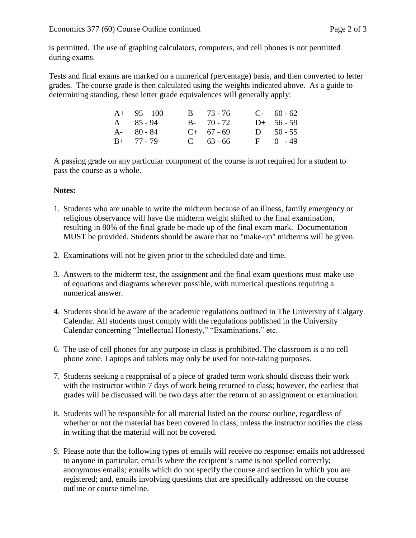is permitted. The use of graphing calculators, computers, and cell phones is not permitted during exams.

Tests and final exams are marked on a numerical (percentage) basis, and then converted to letter grades. The course grade is then calculated using the weights indicated above. As a guide to determining standing, these letter grade equivalences will generally apply:

| $A+ 95-100$   | $B = 73 - 76$ | $C-60-62$    |
|---------------|---------------|--------------|
| A 85-94       | $B - 70 - 72$ | $D+ 56 - 59$ |
| $A - 80 - 84$ | $C+ 67 - 69$  | D $50 - 55$  |
| $B+ 77 - 79$  | $C = 63 - 66$ | $F = 0 - 49$ |

A passing grade on any particular component of the course is not required for a student to pass the course as a whole.

### **Notes:**

- 1. Students who are unable to write the midterm because of an illness, family emergency or religious observance will have the midterm weight shifted to the final examination, resulting in 80% of the final grade be made up of the final exam mark. Documentation MUST be provided. Students should be aware that no "make-up" midterms will be given.
- 2. Examinations will not be given prior to the scheduled date and time.
- 3. Answers to the midterm test, the assignment and the final exam questions must make use of equations and diagrams wherever possible, with numerical questions requiring a numerical answer.
- 4. Students should be aware of the academic regulations outlined in The University of Calgary Calendar. All students must comply with the regulations published in the University Calendar concerning "Intellectual Honesty," "Examinations," etc.
- 6. The use of cell phones for any purpose in class is prohibited. The classroom is a no cell phone zone. Laptops and tablets may only be used for note-taking purposes.
- 7. Students seeking a reappraisal of a piece of graded term work should discuss their work with the instructor within 7 days of work being returned to class; however, the earliest that grades will be discussed will be two days after the return of an assignment or examination.
- 8. Students will be responsible for all material listed on the course outline, regardless of whether or not the material has been covered in class, unless the instructor notifies the class in writing that the material will not be covered.
- 9. Please note that the following types of emails will receive no response: emails not addressed to anyone in particular; emails where the recipient's name is not spelled correctly; anonymous emails; emails which do not specify the course and section in which you are registered; and, emails involving questions that are specifically addressed on the course outline or course timeline.